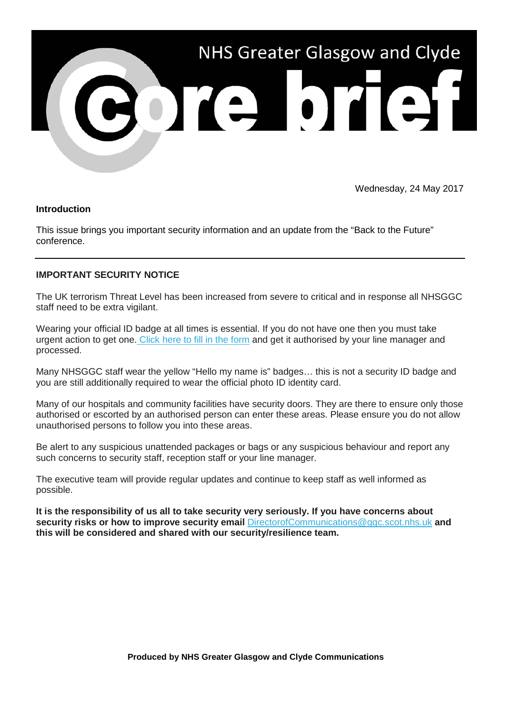

Wednesday, 24 May 2017

## **Introduction**

This issue brings you important security information and an update from the "Back to the Future" conference.

## **IMPORTANT SECURITY NOTICE**

The UK terrorism Threat Level has been increased from severe to critical and in response all NHSGGC staff need to be extra vigilant.

Wearing your official ID badge at all times is essential. If you do not have one then you must take urgent action to get one. [Click here to fill in the form](http://nhsggc.us12.list-manage1.com/track/click?u=0f385b5aea37eaf0213bd19fb&id=dd8ab42b58&e=5af5e1832c) and get it authorised by your line manager and processed.

Many NHSGGC staff wear the yellow "Hello my name is" badges… this is not a security ID badge and you are still additionally required to wear the official photo ID identity card.

Many of our hospitals and community facilities have security doors. They are there to ensure only those authorised or escorted by an authorised person can enter these areas. Please ensure you do not allow unauthorised persons to follow you into these areas.

Be alert to any suspicious unattended packages or bags or any suspicious behaviour and report any such concerns to security staff, reception staff or your line manager.

The executive team will provide regular updates and continue to keep staff as well informed as possible.

**It is the responsibility of us all to take security very seriously. If you have concerns about security risks or how to improve security email** [DirectorofCommunications@ggc.scot.nhs.uk](mailto:DirectorOf.Communications@ggc.scot.nhs.uk?subject=Security) **and this will be considered and shared with our security/resilience team.**